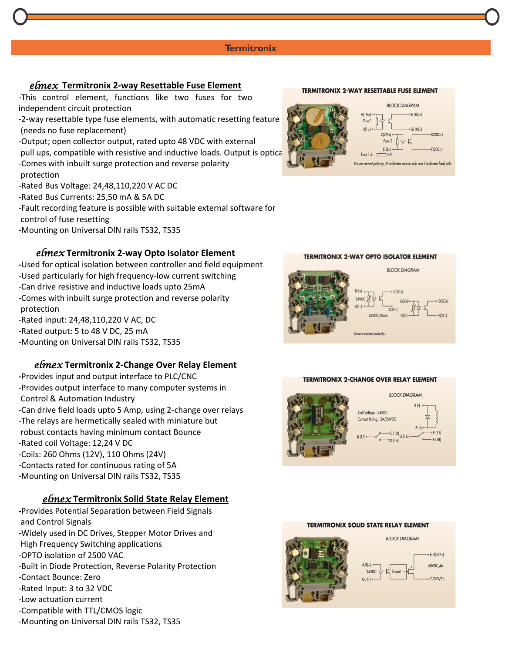*elmex* **Termitronix 2-way Resettable Fuse Element**

-This control element, functions like two fuses for two independent circuit protection

-2-way resettable type fuse elements, with automatic resetting feature (needs no fuse replacement)

-Output; open collector output, rated upto 48 VDC with external pull ups, compatible with resistive and inductive loads. Output is optical -Comes with inbuilt surge protection and reverse polarity protection

-Rated Bus Voltage: 24,48,110,220 V AC DC

-Rated Bus Currents: 25,50 mA & 5A DC

-Fault recording feature is possible with suitable external software for control of fuse resetting

-Mounting on Universal DIN rails TS32, TS35

# *elmex* **Termitronix 2-way Opto Isolator Element**

**-**Used for optical isolation between controller and field equipment -Used particularly for high frequency-low current switching -Can drive resistive and inductive loads upto 25mA -Comes with inbuilt surge protection and reverse polarity protection -Rated input: 24,48,110,220 V AC, DC -Rated output: 5 to 48 V DC, 25 mA -Mounting on Universal DIN rails TS32, TS35

# *elmex* **Termitronix 2-Change Over Relay Element**

**-**Provides input and output interface to PLC/CNC -Provides output interface to many computer systems in Control & Automation Industry -Can drive field loads upto 5 Amp, using 2-change over relays -The relays are hermetically sealed with miniature but robust contacts having minimum contact Bounce -Rated coil Voltage: 12,24 V DC -Coils: 260 Ohms (12V), 110 Ohms (24V) -Contacts rated for continuous rating of 5A -Mounting on Universal DIN rails TS32, TS35

# *elmex* **Termitronix Solid State Relay Element**

**-**Provides Potential Separation between Field Signals and Control Signals -Widely used in DC Drives, Stepper Motor Drives and High Frequency Switching applications -OPTO isolation of 2500 VAC -Built in Diode Protection, Reverse Polarity Protection -Contact Bounce: Zero -Rated Input: 3 to 32 VDC -Low actuation current -Compatible with TTL/CMOS logic -Mounting on Universal DIN rails TS32, TS35

## **TERMITRONIX 2-WAY RESETTABLE FUSE ELEMENT**



### **TERMITRONIX 2-WAY OPTO ISOLATOR ELEMENT**



### **TERMITRONIX 2-CHANGE OVER RELAY ELEMENT**



### **TERMITRONIX SOLID STATE RELAY ELEMENT**